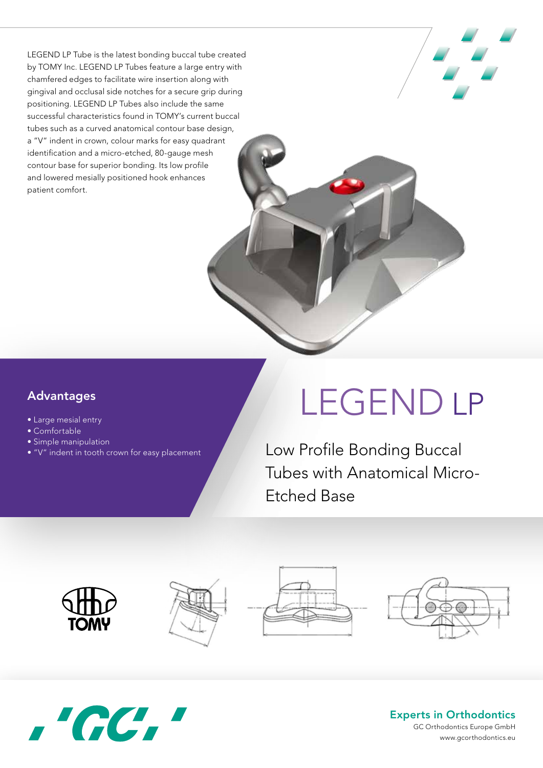LEGEND LP Tube is the latest bonding buccal tube created by TOMY Inc. LEGEND LP Tubes feature a large entry with chamfered edges to facilitate wire insertion along with gingival and occlusal side notches for a secure grip during positioning. LEGEND LP Tubes also include the same successful characteristics found in TOMY's current buccal tubes such as a curved anatomical contour base design, a "V" indent in crown, colour marks for easy quadrant identification and a micro-etched, 80-gauge mesh contour base for superior bonding. Its low profile and lowered mesially positioned hook enhances patient comfort.

## • Aus speziellem hochfestem Stahl gefertigt • Hochglanzpoliert für glatte Oberflächen Advantages

Produkt Merkmale

- $\bullet$  Large mesial entry
- Comfortable verformale verformale verformale
	- Simple manipulation
- "V" indent in tooth crown for easy placement

## LEGEND LP

Low Profile Bonding Buccal Tubes with Anatomical Micro-Etched Base











## Experts in Orthodontics

GC Orthodontics Europe GmbH www.gcorthodontics.eu